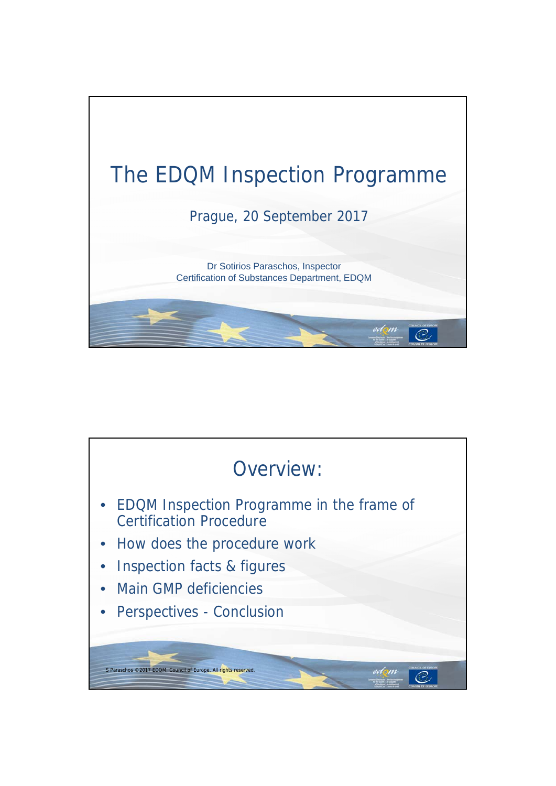

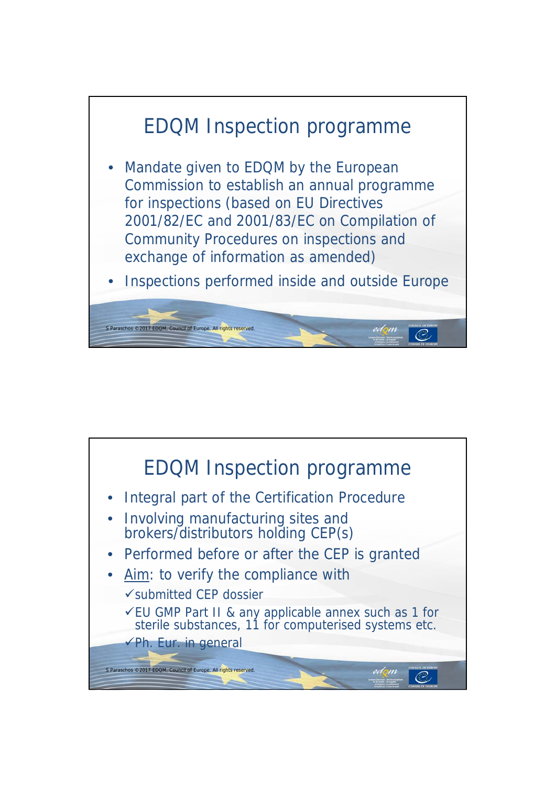

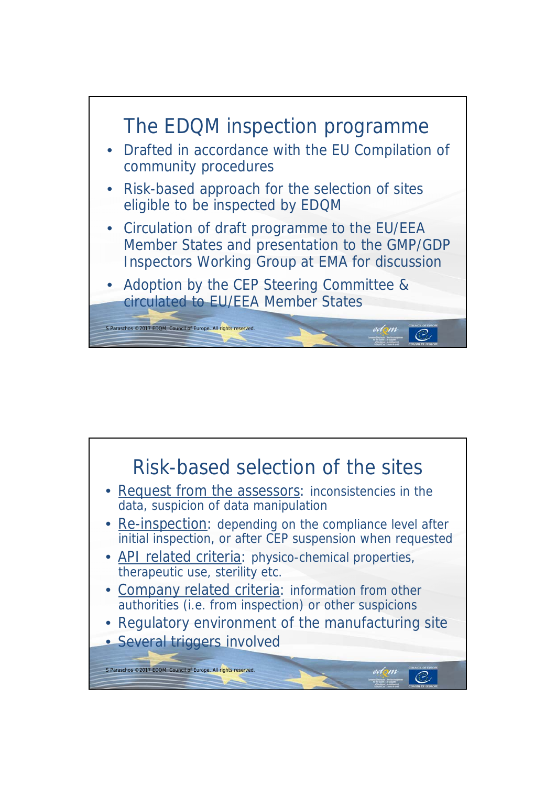

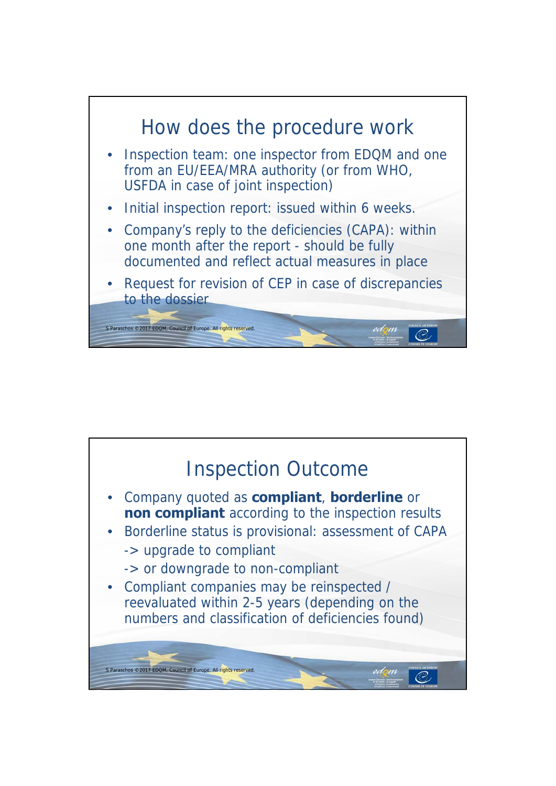

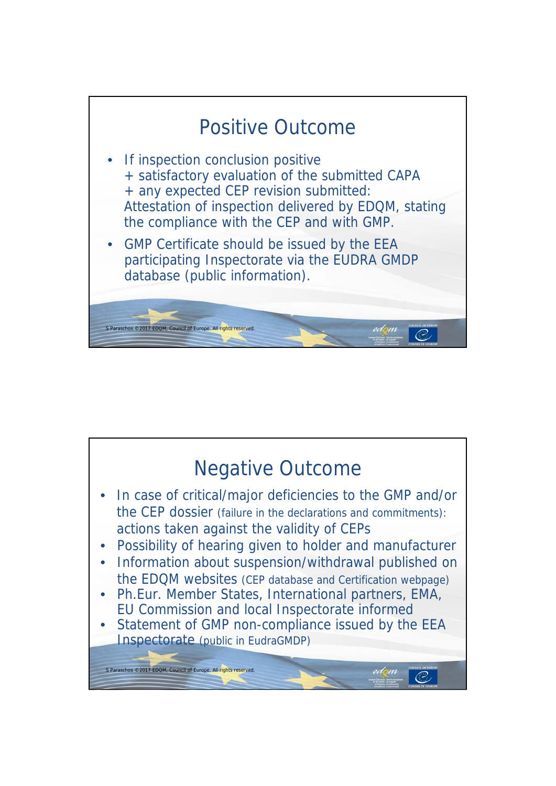

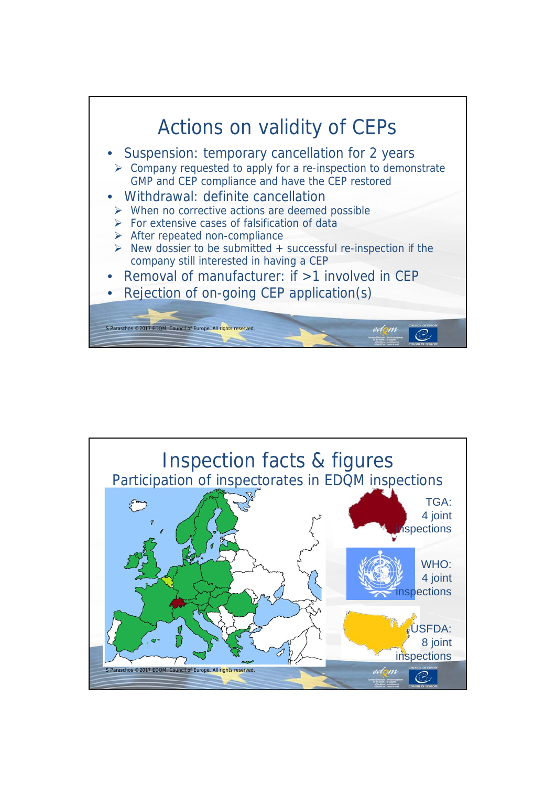

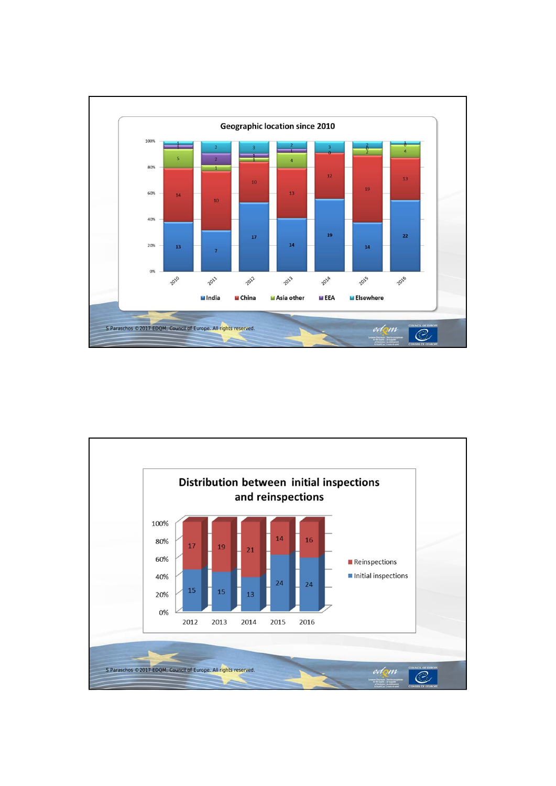

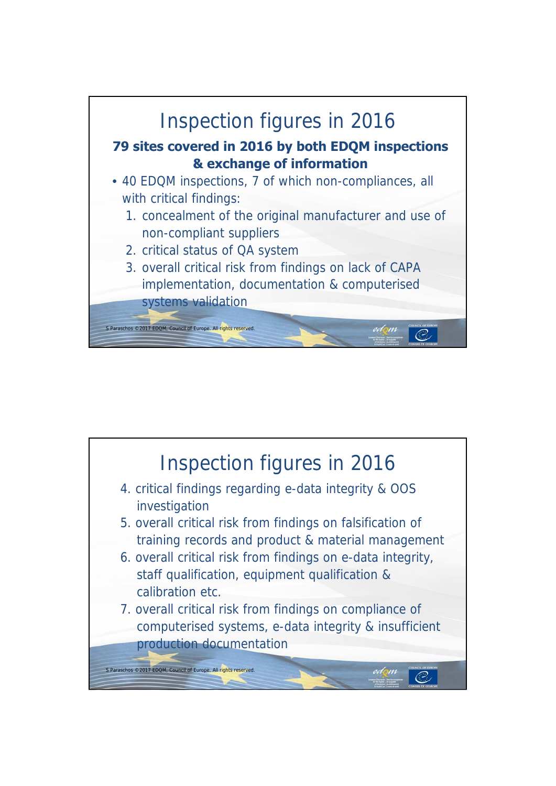

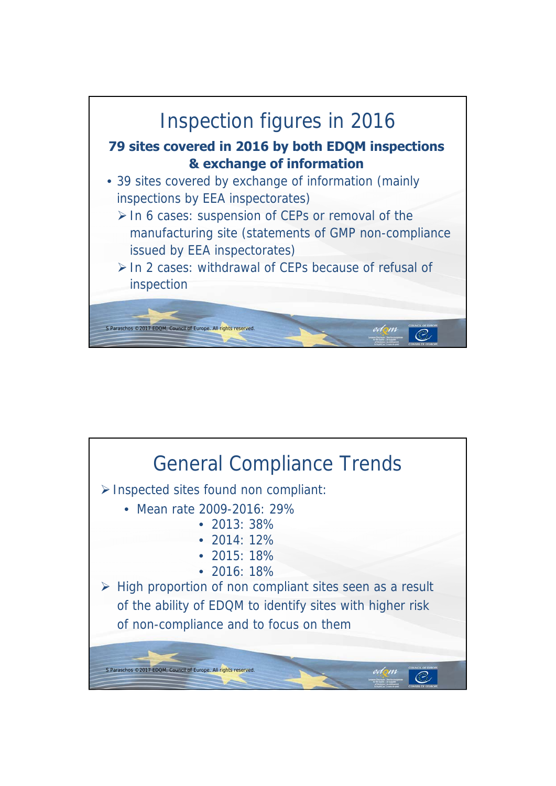

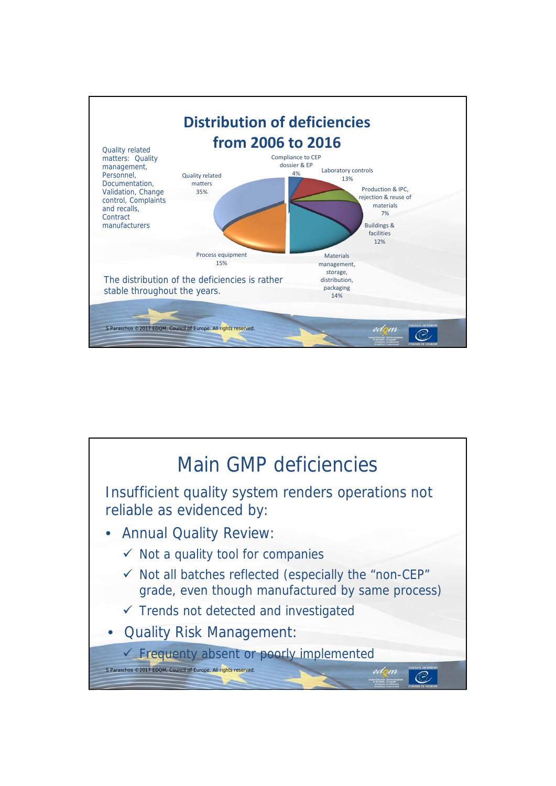

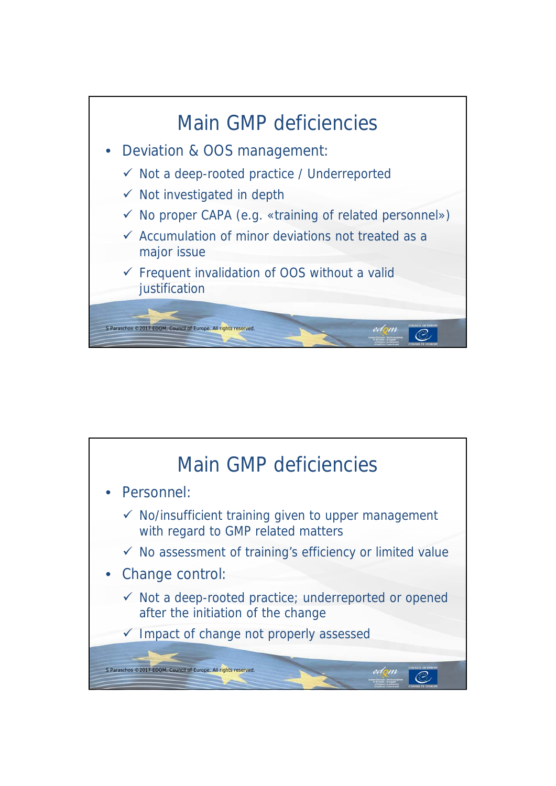

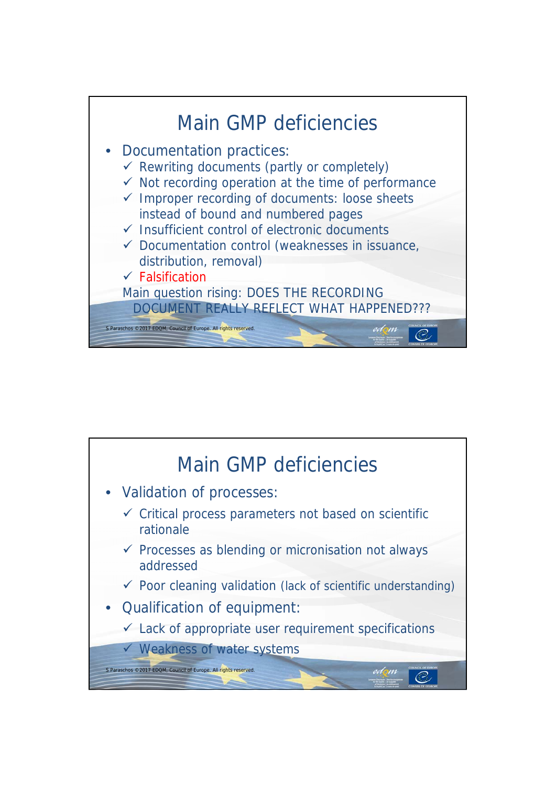

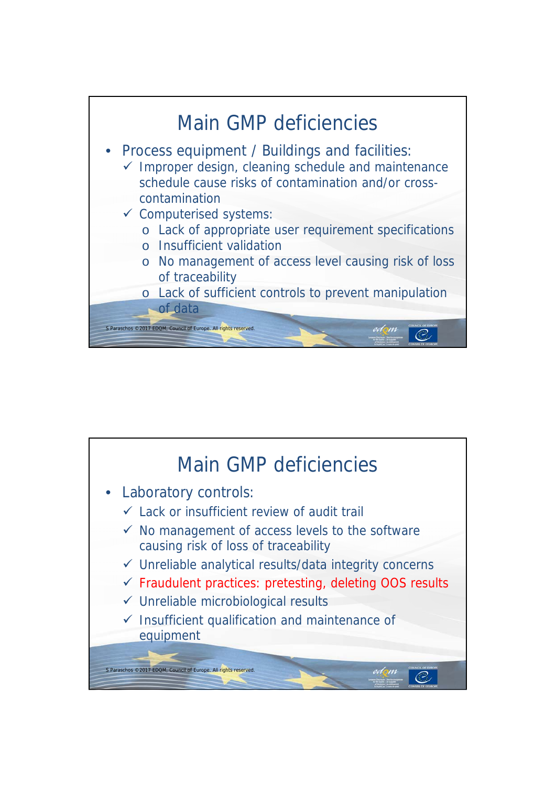

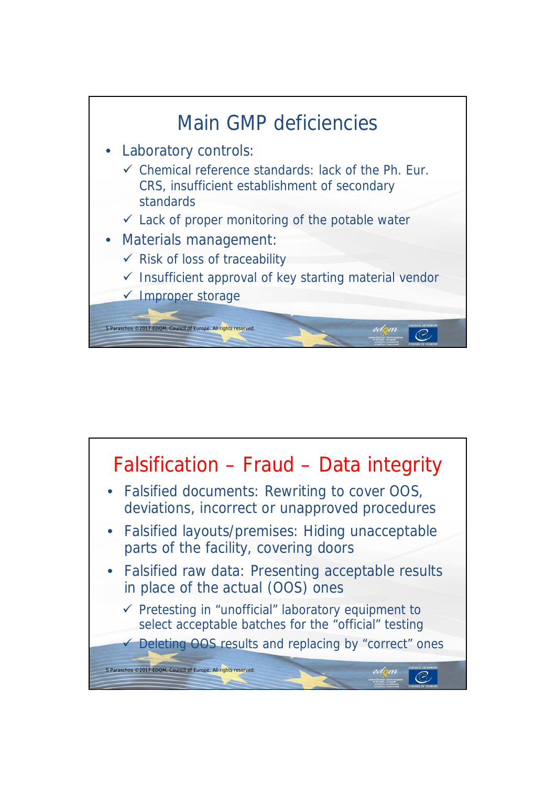

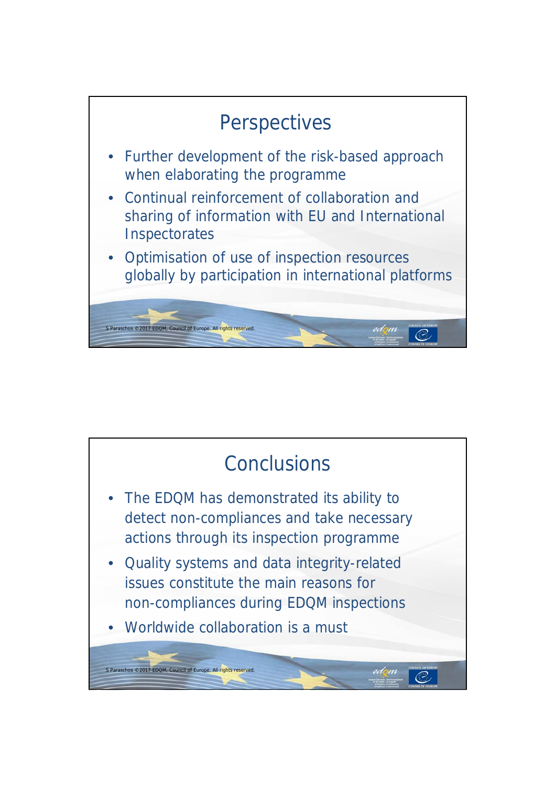

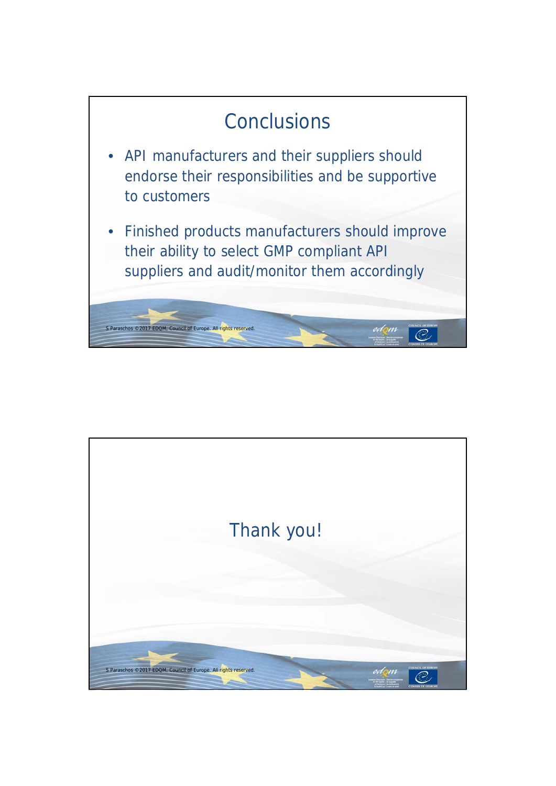